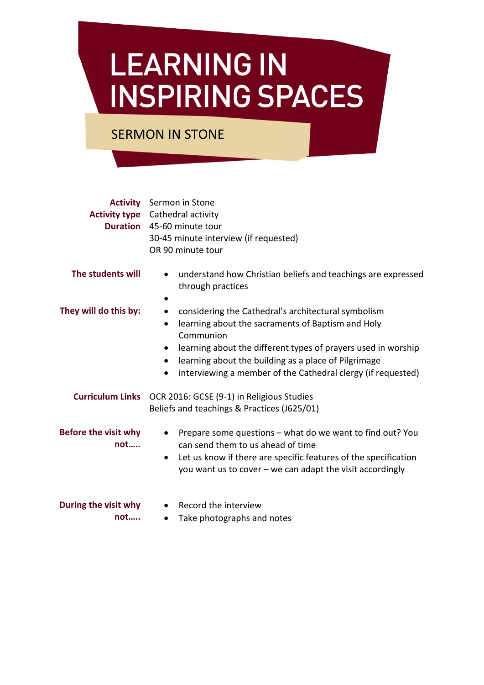## **LEARNING IN INSPIRING SPACES**

SERMON IN STONE

|                                    | <b>Activity</b> Sermon in Stone<br><b>Activity type</b> Cathedral activity<br><b>Duration</b> 45-60 minute tour<br>30-45 minute interview (if requested)<br>OR 90 minute tour                                                                                                                                                                                                   |
|------------------------------------|---------------------------------------------------------------------------------------------------------------------------------------------------------------------------------------------------------------------------------------------------------------------------------------------------------------------------------------------------------------------------------|
| The students will                  | understand how Christian beliefs and teachings are expressed<br>$\bullet$<br>through practices                                                                                                                                                                                                                                                                                  |
| They will do this by:              | considering the Cathedral's architectural symbolism<br>$\bullet$<br>learning about the sacraments of Baptism and Holy<br>$\bullet$<br>Communion<br>learning about the different types of prayers used in worship<br>$\bullet$<br>learning about the building as a place of Pilgrimage<br>$\bullet$<br>interviewing a member of the Cathedral clergy (if requested)<br>$\bullet$ |
|                                    | Curriculum Links OCR 2016: GCSE (9-1) in Religious Studies<br>Beliefs and teachings & Practices (J625/01)                                                                                                                                                                                                                                                                       |
| <b>Before the visit why</b><br>not | Prepare some questions – what do we want to find out? You<br>$\bullet$<br>can send them to us ahead of time<br>Let us know if there are specific features of the specification<br>$\bullet$<br>you want us to cover $-\omega$ can adapt the visit accordingly                                                                                                                   |
| During the visit why<br>not        | Record the interview<br>Take photographs and notes<br>$\bullet$                                                                                                                                                                                                                                                                                                                 |